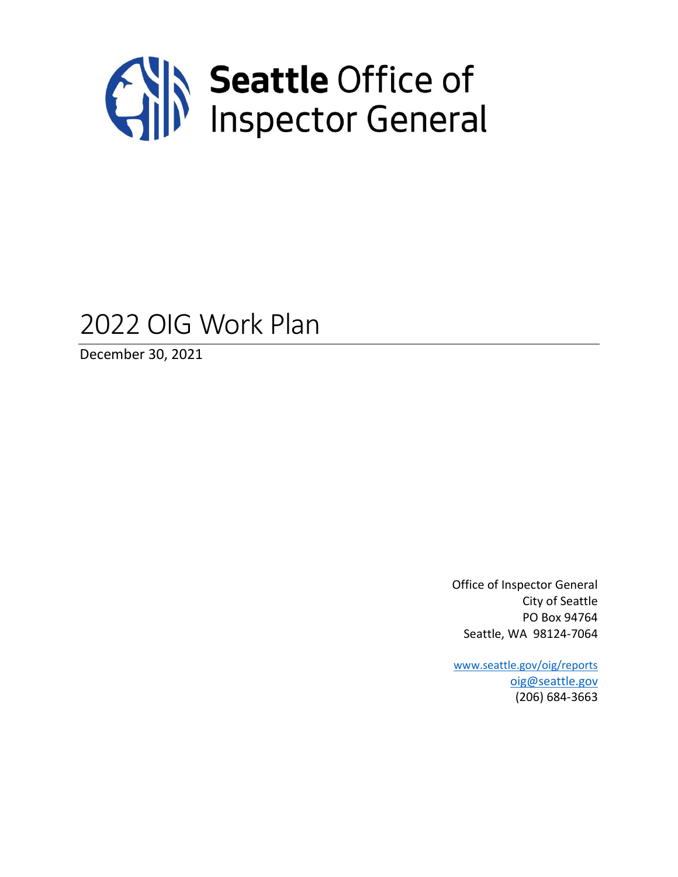

## 2022 OIG Work Plan

December 30, 2021

Office of Inspector General City of Seattle PO Box 94764 Seattle, WA 98124-7064

[www.seattle.gov/oig/reports](http://www.seattle.gov/oig/reports) [oig@seattle.gov](mailto:oig@seattle.gov) (206) 684-3663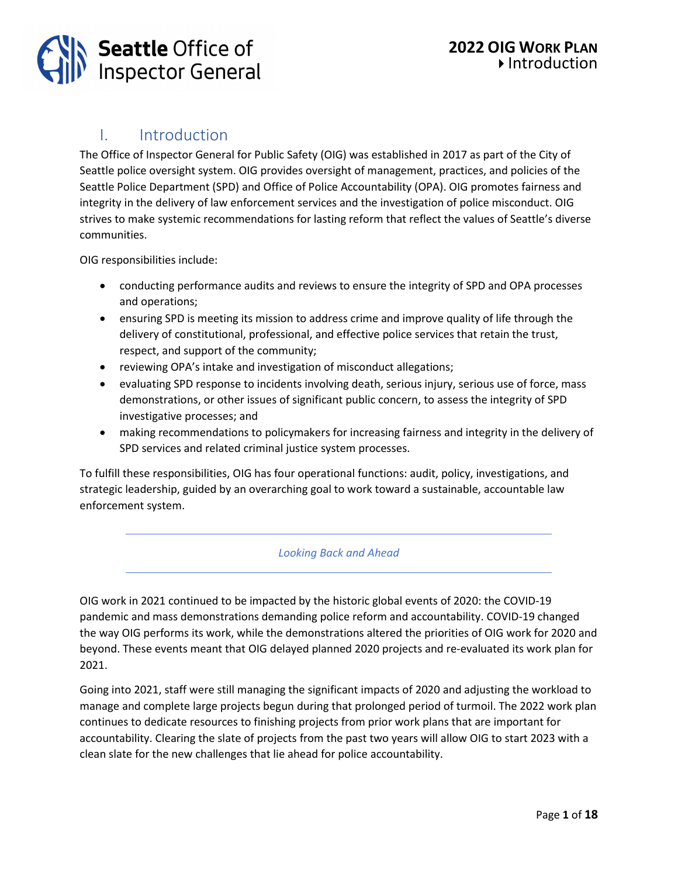

## I. Introduction

The Office of Inspector General for Public Safety (OIG) was established in 2017 as part of the City of Seattle police oversight system. OIG provides oversight of management, practices, and policies of the Seattle Police Department (SPD) and Office of Police Accountability (OPA). OIG promotes fairness and integrity in the delivery of law enforcement services and the investigation of police misconduct. OIG strives to make systemic recommendations for lasting reform that reflect the values of Seattle's diverse communities.

OIG responsibilities include:

- conducting performance audits and reviews to ensure the integrity of SPD and OPA processes and operations;
- ensuring SPD is meeting its mission to address crime and improve quality of life through the delivery of constitutional, professional, and effective police services that retain the trust, respect, and support of the community;
- reviewing OPA's intake and investigation of misconduct allegations;
- evaluating SPD response to incidents involving death, serious injury, serious use of force, mass demonstrations, or other issues of significant public concern, to assess the integrity of SPD investigative processes; and
- making recommendations to policymakers for increasing fairness and integrity in the delivery of SPD services and related criminal justice system processes.

To fulfill these responsibilities, OIG has four operational functions: audit, policy, investigations, and strategic leadership, guided by an overarching goal to work toward a sustainable, accountable law enforcement system.

#### *Looking Back and Ahead*

OIG work in 2021 continued to be impacted by the historic global events of 2020: the COVID-19 pandemic and mass demonstrations demanding police reform and accountability. COVID-19 changed the way OIG performs its work, while the demonstrations altered the priorities of OIG work for 2020 and beyond. These events meant that OIG delayed planned 2020 projects and re-evaluated its work plan for 2021.

Going into 2021, staff were still managing the significant impacts of 2020 and adjusting the workload to manage and complete large projects begun during that prolonged period of turmoil. The 2022 work plan continues to dedicate resources to finishing projects from prior work plans that are important for accountability. Clearing the slate of projects from the past two years will allow OIG to start 2023 with a clean slate for the new challenges that lie ahead for police accountability.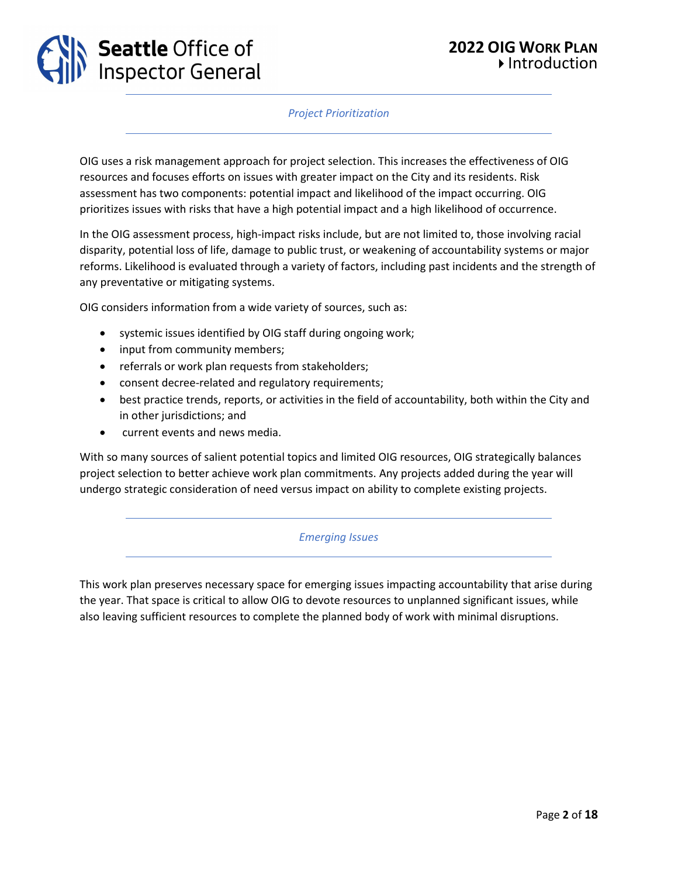

#### *Project Prioritization*

OIG uses a risk management approach for project selection. This increases the effectiveness of OIG resources and focuses efforts on issues with greater impact on the City and its residents. Risk assessment has two components: potential impact and likelihood of the impact occurring. OIG prioritizes issues with risks that have a high potential impact and a high likelihood of occurrence.

In the OIG assessment process, high-impact risks include, but are not limited to, those involving racial disparity, potential loss of life, damage to public trust, or weakening of accountability systems or major reforms. Likelihood is evaluated through a variety of factors, including past incidents and the strength of any preventative or mitigating systems.

OIG considers information from a wide variety of sources, such as:

- systemic issues identified by OIG staff during ongoing work;
- input from community members;
- referrals or work plan requests from stakeholders;
- consent decree-related and regulatory requirements;
- best practice trends, reports, or activities in the field of accountability, both within the City and in other jurisdictions; and
- current events and news media.

With so many sources of salient potential topics and limited OIG resources, OIG strategically balances project selection to better achieve work plan commitments. Any projects added during the year will undergo strategic consideration of need versus impact on ability to complete existing projects.

#### *Emerging Issues*

This work plan preserves necessary space for emerging issues impacting accountability that arise during the year. That space is critical to allow OIG to devote resources to unplanned significant issues, while also leaving sufficient resources to complete the planned body of work with minimal disruptions.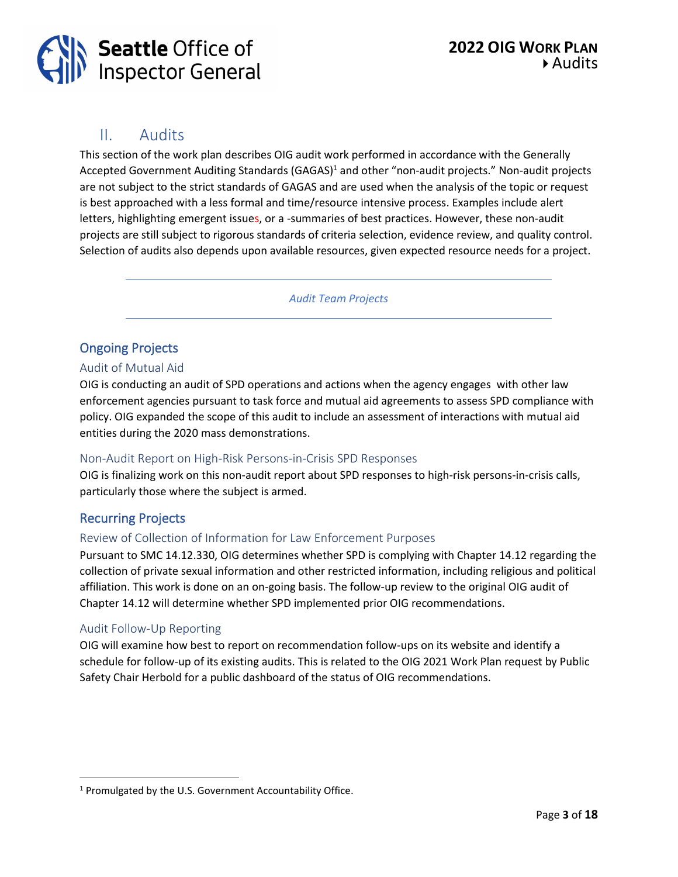

## II. Audits

This section of the work plan describes OIG audit work performed in accordance with the Generally Accepted Government Auditing Standards (GAGAS)<sup>1</sup> and other "non-audit projects." Non-audit projects are not subject to the strict standards of GAGAS and are used when the analysis of the topic or request is best approached with a less formal and time/resource intensive process. Examples include alert letters, highlighting emergent issues, or a -summaries of best practices. However, these non-audit projects are still subject to rigorous standards of criteria selection, evidence review, and quality control. Selection of audits also depends upon available resources, given expected resource needs for a project.

*Audit Team Projects*

## Ongoing Projects

## Audit of Mutual Aid

OIG is conducting an audit of SPD operations and actions when the agency engages with other law enforcement agencies pursuant to task force and mutual aid agreements to assess SPD compliance with policy. OIG expanded the scope of this audit to include an assessment of interactions with mutual aid entities during the 2020 mass demonstrations.

#### Non-Audit Report on High-Risk Persons-in-Crisis SPD Responses

OIG is finalizing work on this non-audit report about SPD responses to high-risk persons-in-crisis calls, particularly those where the subject is armed.

## Recurring Projects

## Review of Collection of Information for Law Enforcement Purposes

Pursuant to SMC 14.12.330, OIG determines whether SPD is complying with Chapter 14.12 regarding the collection of private sexual information and other restricted information, including religious and political affiliation. This work is done on an on-going basis. The follow-up review to the original OIG audit of Chapter 14.12 will determine whether SPD implemented prior OIG recommendations.

#### Audit Follow-Up Reporting

OIG will examine how best to report on recommendation follow-ups on its website and identify a schedule for follow-up of its existing audits. This is related to the OIG 2021 Work Plan request by Public Safety Chair Herbold for a public dashboard of the status of OIG recommendations.

<sup>1</sup> Promulgated by the U.S. Government Accountability Office.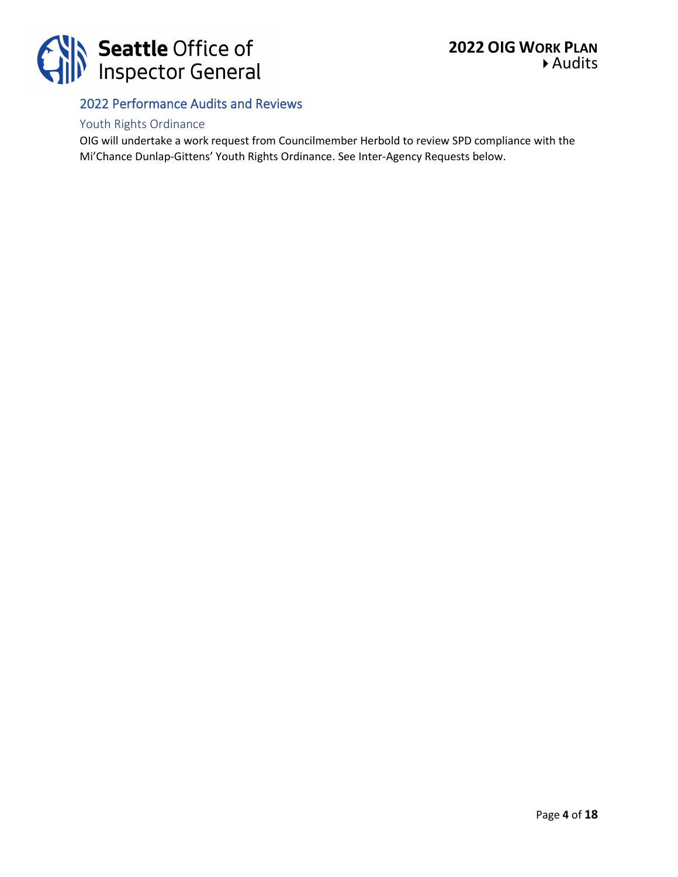

## 2022 Performance Audits and Reviews

## Youth Rights Ordinance

OIG will undertake a work request from Councilmember Herbold to review SPD compliance with the Mi'Chance Dunlap-Gittens' Youth Rights Ordinance. See Inter-Agency Requests below.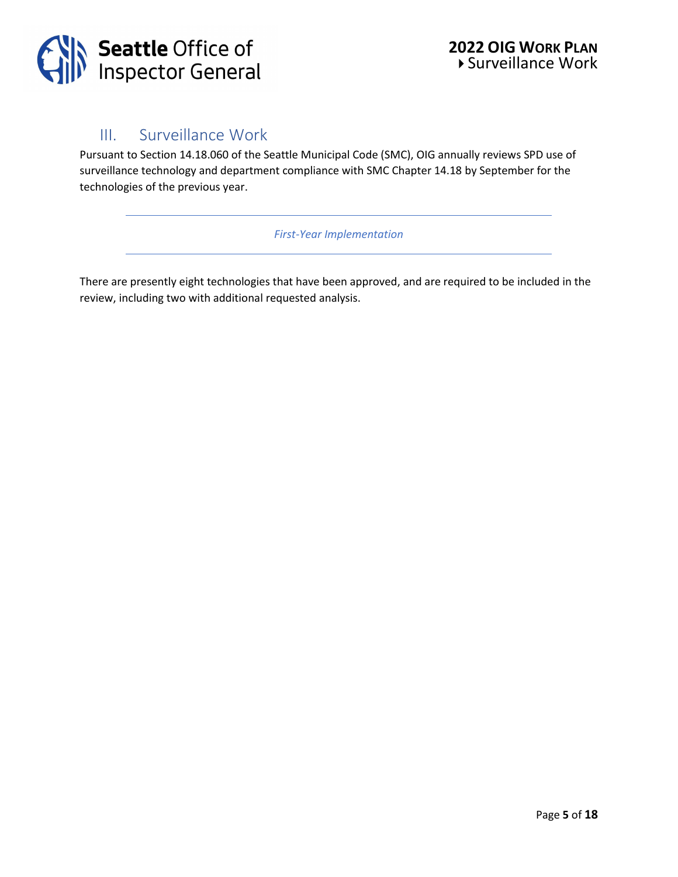

## III. Surveillance Work

Pursuant to Section 14.18.060 of the Seattle Municipal Code (SMC), OIG annually reviews SPD use of surveillance technology and department compliance with SMC Chapter 14.18 by September for the technologies of the previous year.

*First-Year Implementation*

There are presently eight technologies that have been approved, and are required to be included in the review, including two with additional requested analysis.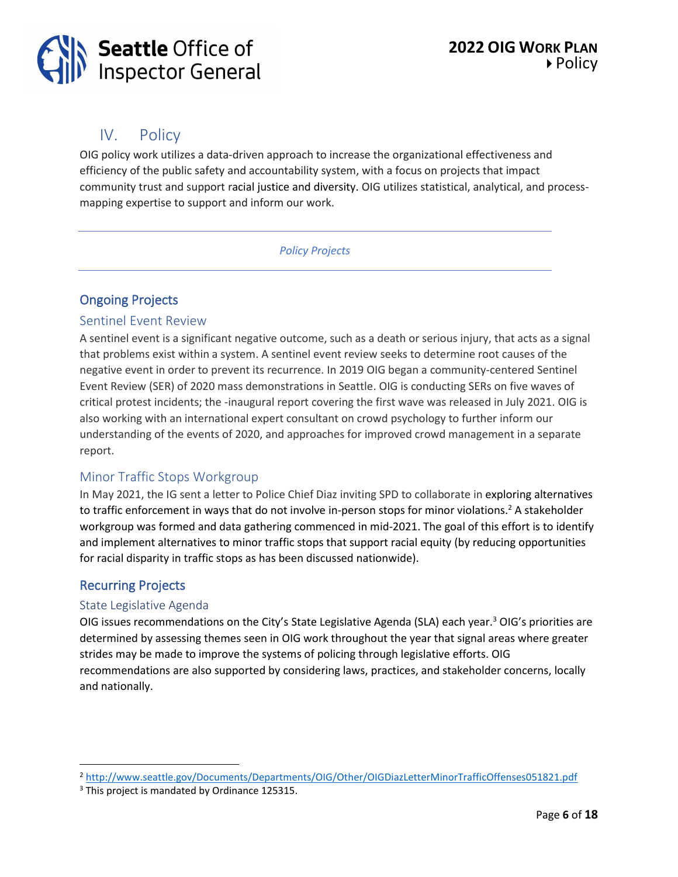## IV. Policy

OIG policy work utilizes a data-driven approach to increase the organizational effectiveness and efficiency of the public safety and accountability system, with a focus on projects that impact community trust and support racial justice and diversity. OIG utilizes statistical, analytical, and processmapping expertise to support and inform our work.

## *Policy Projects*

## Ongoing Projects

## Sentinel Event Review

A sentinel event is a significant negative outcome, such as a death or serious injury, that acts as a signal that problems exist within a system. A sentinel event review seeks to determine root causes of the negative event in order to prevent its recurrence. In 2019 OIG began a community-centered Sentinel Event Review (SER) of 2020 mass demonstrations in Seattle. OIG is conducting SERs on five waves of critical protest incidents; the -inaugural report covering the first wave was released in July 2021. OIG is also working with an international expert consultant on crowd psychology to further inform our understanding of the events of 2020, and approaches for improved crowd management in a separate report.

## Minor Traffic Stops Workgroup

In May 2021, the IG sent a letter to Police Chief Diaz inviting SPD to collaborate in exploring alternatives to traffic enforcement in ways that do not involve in-person stops for minor violations.<sup>2</sup> A stakeholder workgroup was formed and data gathering commenced in mid-2021. The goal of this effort is to identify and implement alternatives to minor traffic stops that support racial equity (by reducing opportunities for racial disparity in traffic stops as has been discussed nationwide).

## Recurring Projects

## State Legislative Agenda

OIG issues recommendations on the City's State Legislative Agenda (SLA) each year.<sup>3</sup> OIG's priorities are determined by assessing themes seen in OIG work throughout the year that signal areas where greater strides may be made to improve the systems of policing through legislative efforts. OIG recommendations are also supported by considering laws, practices, and stakeholder concerns, locally and nationally.

<sup>2</sup> <http://www.seattle.gov/Documents/Departments/OIG/Other/OIGDiazLetterMinorTrafficOffenses051821.pdf>

<sup>&</sup>lt;sup>3</sup> This project is mandated by Ordinance 125315.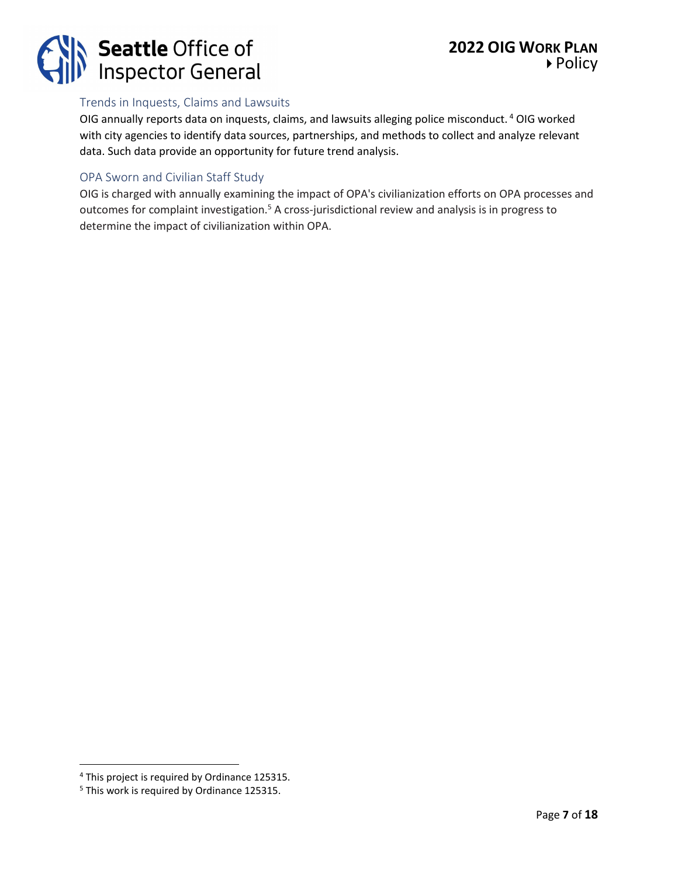

## Trends in Inquests, Claims and Lawsuits

OIG annually reports data on inquests, claims, and lawsuits alleging police misconduct. <sup>4</sup> OIG worked with city agencies to identify data sources, partnerships, and methods to collect and analyze relevant data. Such data provide an opportunity for future trend analysis.

## OPA Sworn and Civilian Staff Study

OIG is charged with annually examining the impact of OPA's civilianization efforts on OPA processes and outcomes for complaint investigation.<sup>5</sup> A cross-jurisdictional review and analysis is in progress to determine the impact of civilianization within OPA.

<sup>4</sup> This project is required by Ordinance 125315.

<sup>5</sup> This work is required by Ordinance 125315.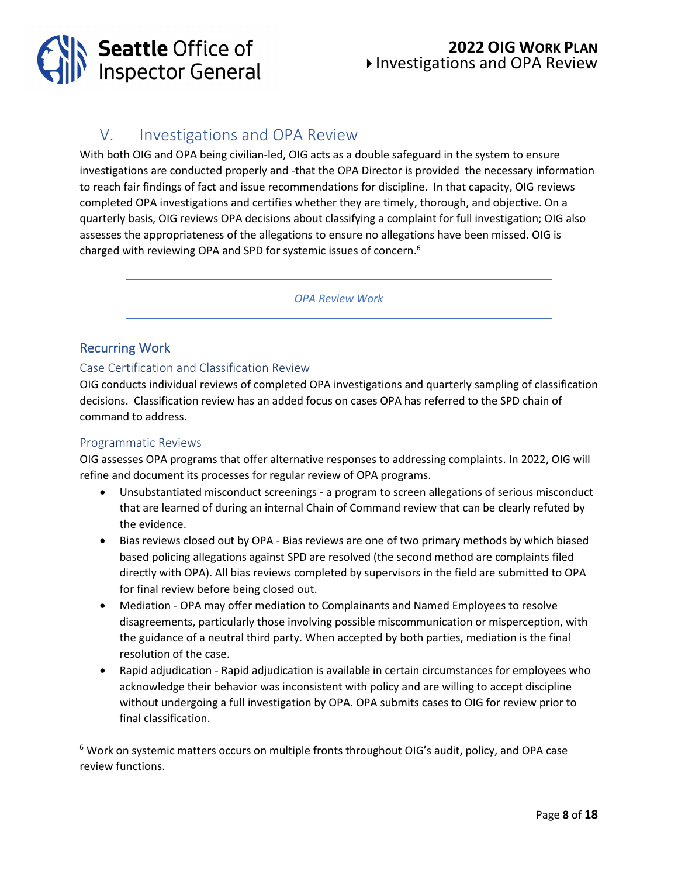

## **2022 OIG WORK PLAN** Investigations and OPA Review

## V. Investigations and OPA Review

With both OIG and OPA being civilian-led, OIG acts as a double safeguard in the system to ensure investigations are conducted properly and -that the OPA Director is provided the necessary information to reach fair findings of fact and issue recommendations for discipline. In that capacity, OIG reviews completed OPA investigations and certifies whether they are timely, thorough, and objective. On a quarterly basis, OIG reviews OPA decisions about classifying a complaint for full investigation; OIG also assesses the appropriateness of the allegations to ensure no allegations have been missed. OIG is charged with reviewing OPA and SPD for systemic issues of concern.<sup>6</sup>

*OPA Review Work*

## Recurring Work

## Case Certification and Classification Review

OIG conducts individual reviews of completed OPA investigations and quarterly sampling of classification decisions. Classification review has an added focus on cases OPA has referred to the SPD chain of command to address.

## Programmatic Reviews

OIG assesses OPA programs that offer alternative responses to addressing complaints. In 2022, OIG will refine and document its processes for regular review of OPA programs.

- Unsubstantiated misconduct screenings a program to screen allegations of serious misconduct that are learned of during an internal Chain of Command review that can be clearly refuted by the evidence.
- Bias reviews closed out by OPA Bias reviews are one of two primary methods by which biased based policing allegations against SPD are resolved (the second method are complaints filed directly with OPA). All bias reviews completed by supervisors in the field are submitted to OPA for final review before being closed out.
- Mediation OPA may offer mediation to Complainants and Named Employees to resolve disagreements, particularly those involving possible miscommunication or misperception, with the guidance of a neutral third party. When accepted by both parties, mediation is the final resolution of the case.
- Rapid adjudication Rapid adjudication is available in certain circumstances for employees who acknowledge their behavior was inconsistent with policy and are willing to accept discipline without undergoing a full investigation by OPA. OPA submits cases to OIG for review prior to final classification.

 $6$  Work on systemic matters occurs on multiple fronts throughout OIG's audit, policy, and OPA case review functions.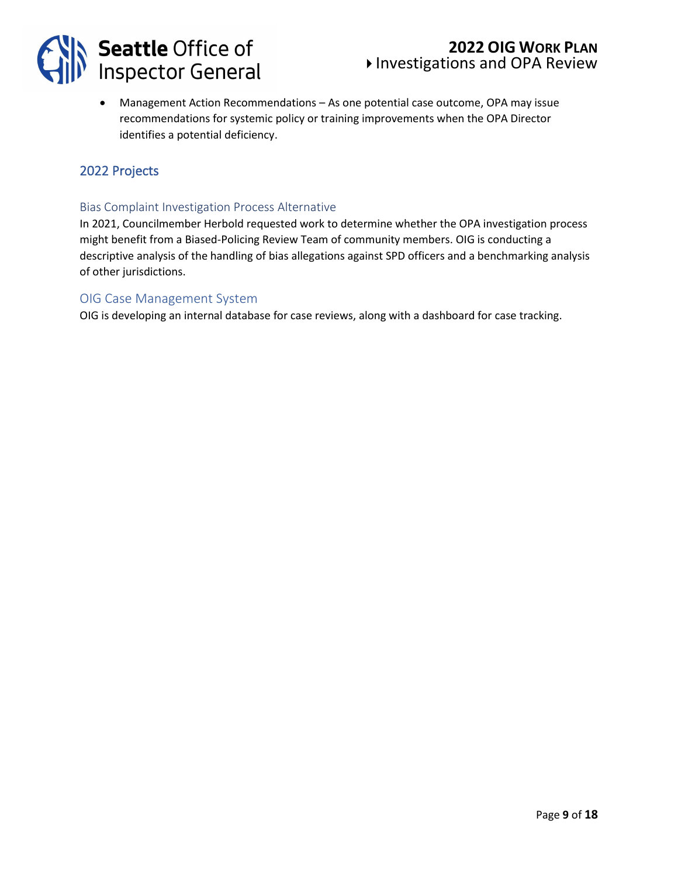

## **2022 OIG WORK PLAN** Investigations and OPA Review

• Management Action Recommendations – As one potential case outcome, OPA may issue recommendations for systemic policy or training improvements when the OPA Director identifies a potential deficiency.

## 2022 Projects

#### Bias Complaint Investigation Process Alternative

In 2021, Councilmember Herbold requested work to determine whether the OPA investigation process might benefit from a Biased-Policing Review Team of community members. OIG is conducting a descriptive analysis of the handling of bias allegations against SPD officers and a benchmarking analysis of other jurisdictions.

#### OIG Case Management System

OIG is developing an internal database for case reviews, along with a dashboard for case tracking.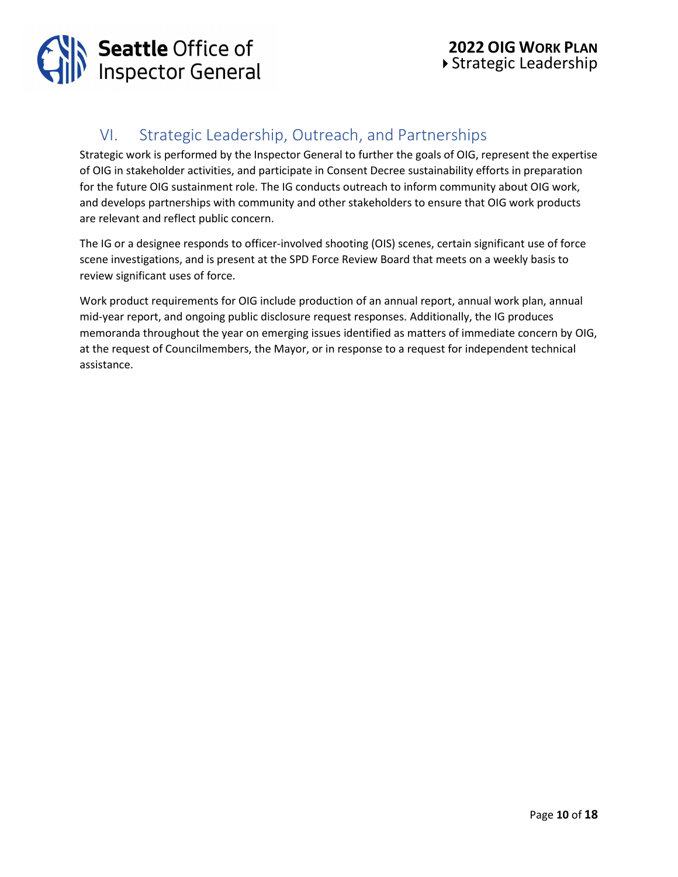

## VI. Strategic Leadership, Outreach, and Partnerships

Strategic work is performed by the Inspector General to further the goals of OIG, represent the expertise of OIG in stakeholder activities, and participate in Consent Decree sustainability efforts in preparation for the future OIG sustainment role. The IG conducts outreach to inform community about OIG work, and develops partnerships with community and other stakeholders to ensure that OIG work products are relevant and reflect public concern.

The IG or a designee responds to officer-involved shooting (OIS) scenes, certain significant use of force scene investigations, and is present at the SPD Force Review Board that meets on a weekly basis to review significant uses of force.

Work product requirements for OIG include production of an annual report, annual work plan, annual mid-year report, and ongoing public disclosure request responses. Additionally, the IG produces memoranda throughout the year on emerging issues identified as matters of immediate concern by OIG, at the request of Councilmembers, the Mayor, or in response to a request for independent technical assistance.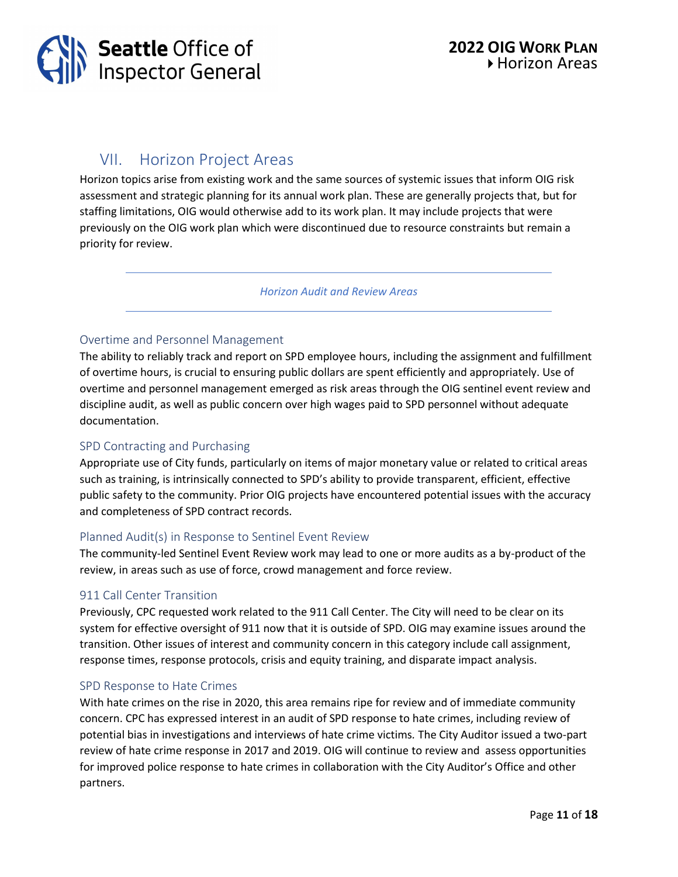

## VII. Horizon Project Areas

Horizon topics arise from existing work and the same sources of systemic issues that inform OIG risk assessment and strategic planning for its annual work plan. These are generally projects that, but for staffing limitations, OIG would otherwise add to its work plan. It may include projects that were previously on the OIG work plan which were discontinued due to resource constraints but remain a priority for review.

*Horizon Audit and Review Areas*

## Overtime and Personnel Management

The ability to reliably track and report on SPD employee hours, including the assignment and fulfillment of overtime hours, is crucial to ensuring public dollars are spent efficiently and appropriately. Use of overtime and personnel management emerged as risk areas through the OIG sentinel event review and discipline audit, as well as public concern over high wages paid to SPD personnel without adequate documentation.

## SPD Contracting and Purchasing

Appropriate use of City funds, particularly on items of major monetary value or related to critical areas such as training, is intrinsically connected to SPD's ability to provide transparent, efficient, effective public safety to the community. Prior OIG projects have encountered potential issues with the accuracy and completeness of SPD contract records.

#### Planned Audit(s) in Response to Sentinel Event Review

The community-led Sentinel Event Review work may lead to one or more audits as a by-product of the review, in areas such as use of force, crowd management and force review.

#### 911 Call Center Transition

Previously, CPC requested work related to the 911 Call Center. The City will need to be clear on its system for effective oversight of 911 now that it is outside of SPD. OIG may examine issues around the transition. Other issues of interest and community concern in this category include call assignment, response times, response protocols, crisis and equity training, and disparate impact analysis.

#### SPD Response to Hate Crimes

With hate crimes on the rise in 2020, this area remains ripe for review and of immediate community concern. CPC has expressed interest in an audit of SPD response to hate crimes, including review of potential bias in investigations and interviews of hate crime victims*.* The City Auditor issued a two-part review of hate crime response in 2017 and 2019. OIG will continue to review and assess opportunities for improved police response to hate crimes in collaboration with the City Auditor's Office and other partners.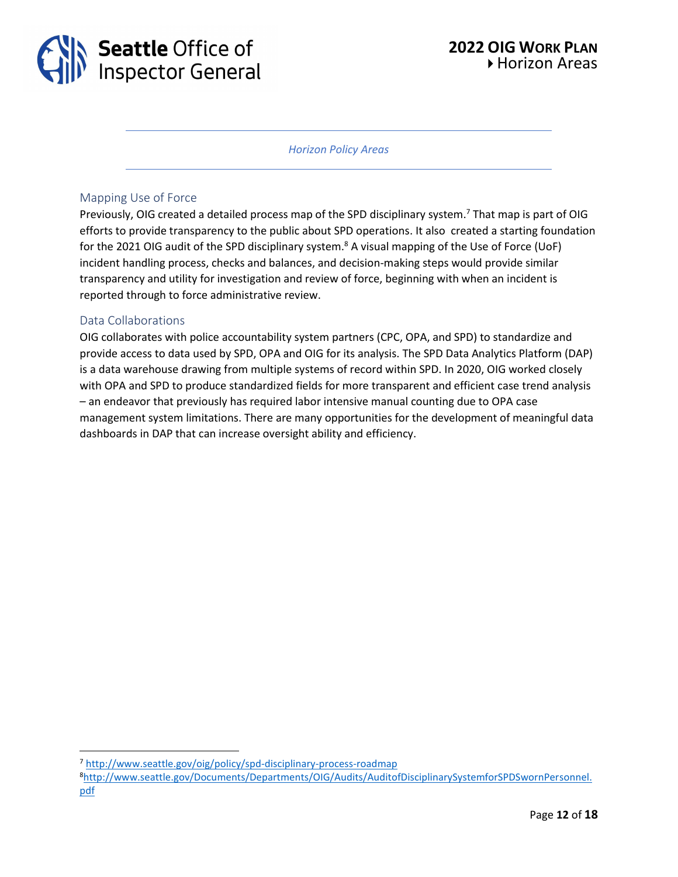

*Horizon Policy Areas*

#### Mapping Use of Force

Previously, OIG created a detailed process map of the SPD disciplinary system.<sup>7</sup> That map is part of OIG efforts to provide transparency to the public about SPD operations. It also created a starting foundation for the 2021 OIG audit of the SPD disciplinary system.<sup>8</sup> A visual mapping of the Use of Force (UoF) incident handling process, checks and balances, and decision-making steps would provide similar transparency and utility for investigation and review of force, beginning with when an incident is reported through to force administrative review.

#### Data Collaborations

OIG collaborates with police accountability system partners (CPC, OPA, and SPD) to standardize and provide access to data used by SPD, OPA and OIG for its analysis. The SPD Data Analytics Platform (DAP) is a data warehouse drawing from multiple systems of record within SPD. In 2020, OIG worked closely with OPA and SPD to produce standardized fields for more transparent and efficient case trend analysis – an endeavor that previously has required labor intensive manual counting due to OPA case management system limitations. There are many opportunities for the development of meaningful data dashboards in DAP that can increase oversight ability and efficiency.

<sup>8</sup>[http://www.seattle.gov/Documents/Departments/OIG/Audits/AuditofDisciplinarySystemforSPDSwornPersonnel.](http://www.seattle.gov/Documents/Departments/OIG/Audits/AuditofDisciplinarySystemforSPDSwornPersonnel.pdf) [pdf](http://www.seattle.gov/Documents/Departments/OIG/Audits/AuditofDisciplinarySystemforSPDSwornPersonnel.pdf)

<sup>7</sup> <http://www.seattle.gov/oig/policy/spd-disciplinary-process-roadmap>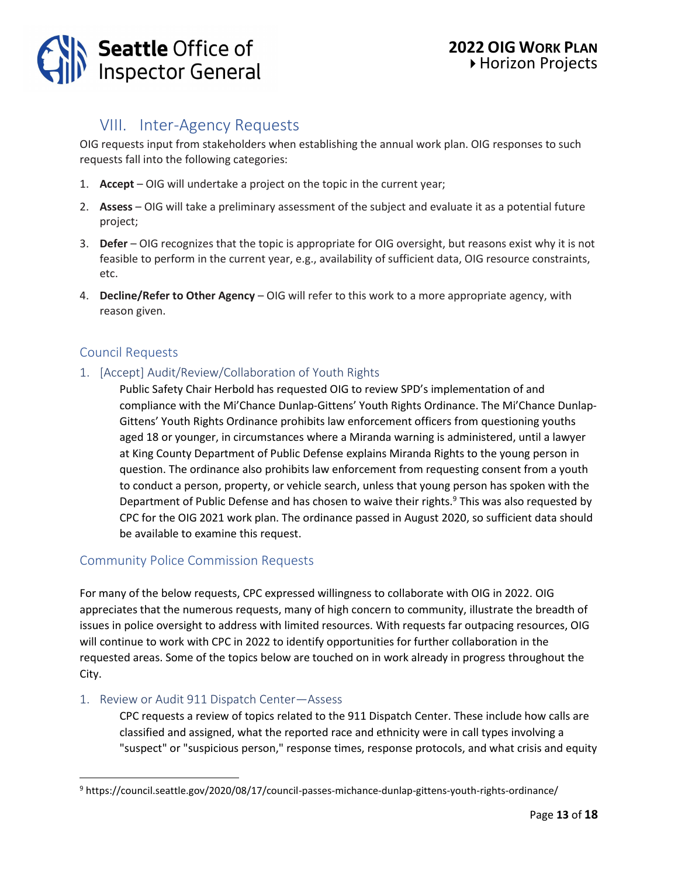

## VIII. Inter-Agency Requests

OIG requests input from stakeholders when establishing the annual work plan. OIG responses to such requests fall into the following categories:

- 1. **Accept**  OIG will undertake a project on the topic in the current year;
- 2. **Assess**  OIG will take a preliminary assessment of the subject and evaluate it as a potential future project;
- 3. **Defer**  OIG recognizes that the topic is appropriate for OIG oversight, but reasons exist why it is not feasible to perform in the current year, e.g., availability of sufficient data, OIG resource constraints, etc.
- 4. **Decline/Refer to Other Agency** OIG will refer to this work to a more appropriate agency, with reason given.

## Council Requests

## 1. [Accept] Audit/Review/Collaboration of Youth Rights

Public Safety Chair Herbold has requested OIG to review SPD's implementation of and compliance with the Mi'Chance Dunlap-Gittens' Youth Rights Ordinance. The Mi'Chance Dunlap-Gittens' Youth Rights Ordinance prohibits law enforcement officers from questioning youths aged 18 or younger, in circumstances where a Miranda warning is administered, until a lawyer at King County Department of Public Defense explains Miranda Rights to the young person in question. The ordinance also prohibits law enforcement from requesting consent from a youth to conduct a person, property, or vehicle search, unless that young person has spoken with the Department of Public Defense and has chosen to waive their rights.<sup>9</sup> This was also requested by CPC for the OIG 2021 work plan. The ordinance passed in August 2020, so sufficient data should be available to examine this request.

## Community Police Commission Requests

For many of the below requests, CPC expressed willingness to collaborate with OIG in 2022. OIG appreciates that the numerous requests, many of high concern to community, illustrate the breadth of issues in police oversight to address with limited resources. With requests far outpacing resources, OIG will continue to work with CPC in 2022 to identify opportunities for further collaboration in the requested areas. Some of the topics below are touched on in work already in progress throughout the City.

## 1. Review or Audit 911 Dispatch Center—Assess

CPC requests a review of topics related to the 911 Dispatch Center. These include how calls are classified and assigned, what the reported race and ethnicity were in call types involving a "suspect" or "suspicious person," response times, response protocols, and what crisis and equity

<sup>9</sup> https://council.seattle.gov/2020/08/17/council-passes-michance-dunlap-gittens-youth-rights-ordinance/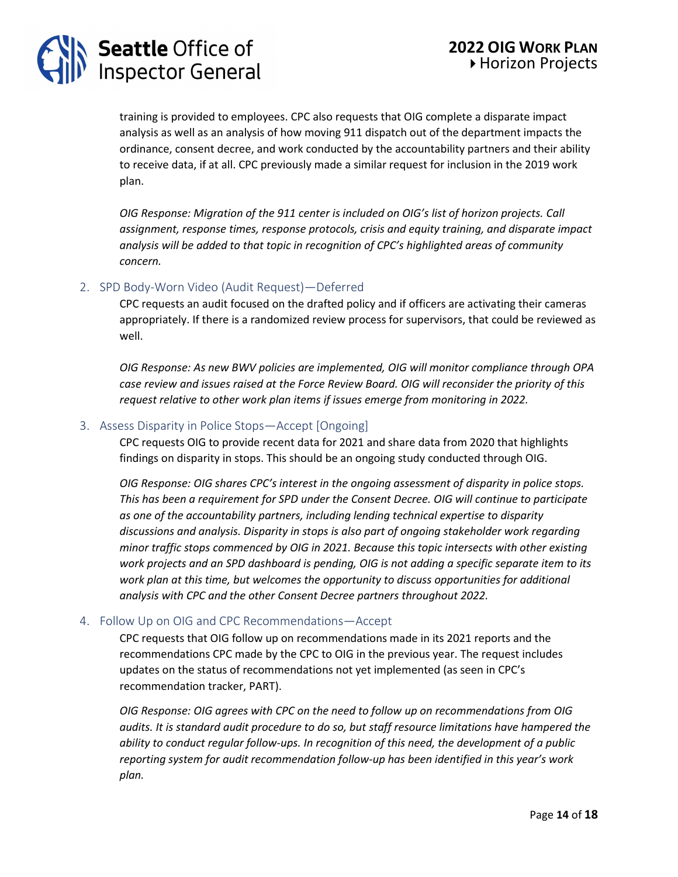# **Seattle Office of<br>Inspector General**

training is provided to employees. CPC also requests that OIG complete a disparate impact analysis as well as an analysis of how moving 911 dispatch out of the department impacts the ordinance, consent decree, and work conducted by the accountability partners and their ability to receive data, if at all. CPC previously made a similar request for inclusion in the 2019 work plan.

*OIG Response: Migration of the 911 center is included on OIG's list of horizon projects. Call assignment, response times, response protocols, crisis and equity training, and disparate impact analysis will be added to that topic in recognition of CPC's highlighted areas of community concern.*

## 2. SPD Body-Worn Video (Audit Request)—Deferred

CPC requests an audit focused on the drafted policy and if officers are activating their cameras appropriately. If there is a randomized review process for supervisors, that could be reviewed as well.

*OIG Response: As new BWV policies are implemented, OIG will monitor compliance through OPA case review and issues raised at the Force Review Board. OIG will reconsider the priority of this request relative to other work plan items if issues emerge from monitoring in 2022.*

## 3. Assess Disparity in Police Stops—Accept [Ongoing]

CPC requests OIG to provide recent data for 2021 and share data from 2020 that highlights findings on disparity in stops. This should be an ongoing study conducted through OIG.

*OIG Response: OIG shares CPC's interest in the ongoing assessment of disparity in police stops. This has been a requirement for SPD under the Consent Decree. OIG will continue to participate as one of the accountability partners, including lending technical expertise to disparity discussions and analysis. Disparity in stops is also part of ongoing stakeholder work regarding minor traffic stops commenced by OIG in 2021. Because this topic intersects with other existing work projects and an SPD dashboard is pending, OIG is not adding a specific separate item to its work plan at this time, but welcomes the opportunity to discuss opportunities for additional analysis with CPC and the other Consent Decree partners throughout 2022.*

## 4. Follow Up on OIG and CPC Recommendations—Accept

CPC requests that OIG follow up on recommendations made in its 2021 reports and the recommendations CPC made by the CPC to OIG in the previous year. The request includes updates on the status of recommendations not yet implemented (as seen in CPC's recommendation tracker, PART).

*OIG Response: OIG agrees with CPC on the need to follow up on recommendations from OIG audits. It is standard audit procedure to do so, but staff resource limitations have hampered the ability to conduct regular follow-ups. In recognition of this need, the development of a public reporting system for audit recommendation follow-up has been identified in this year's work plan.*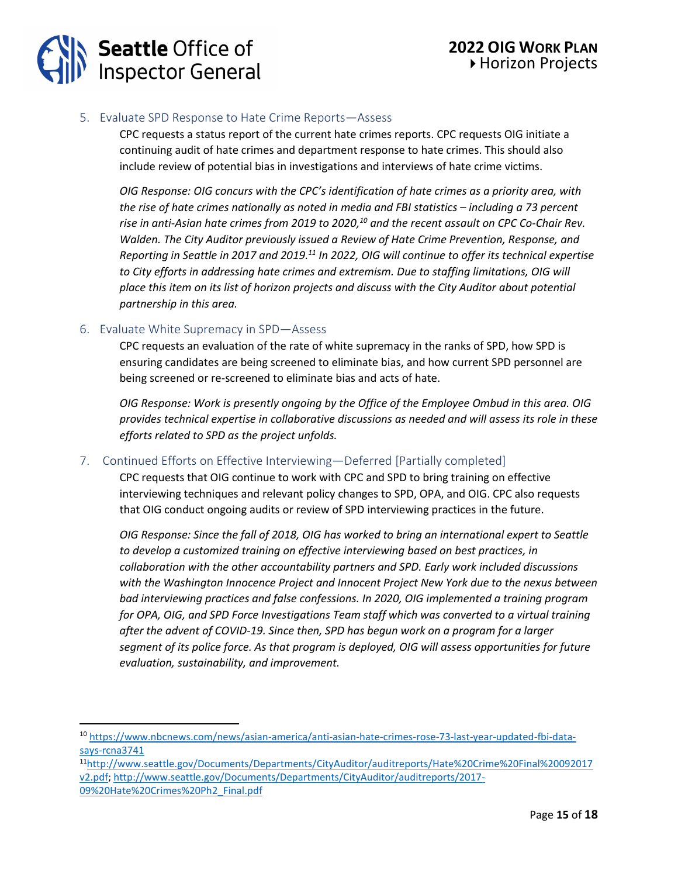## 5. Evaluate SPD Response to Hate Crime Reports—Assess

CPC requests a status report of the current hate crimes reports. CPC requests OIG initiate a continuing audit of hate crimes and department response to hate crimes. This should also include review of potential bias in investigations and interviews of hate crime victims.

*OIG Response: OIG concurs with the CPC's identification of hate crimes as a priority area, with the rise of hate crimes nationally as noted in media and FBI statistics – including a 73 percent rise in anti-Asian hate crimes from 2019 to 2020, <sup>10</sup> and the recent assault on CPC Co-Chair Rev. Walden. The City Auditor previously issued a Review of Hate Crime Prevention, Response, and Reporting in Seattle in 2017 and 2019. <sup>11</sup> In 2022, OIG will continue to offer its technical expertise to City efforts in addressing hate crimes and extremism. Due to staffing limitations, OIG will place this item on its list of horizon projects and discuss with the City Auditor about potential partnership in this area.*

## 6. Evaluate White Supremacy in SPD—Assess

CPC requests an evaluation of the rate of white supremacy in the ranks of SPD, how SPD is ensuring candidates are being screened to eliminate bias, and how current SPD personnel are being screened or re-screened to eliminate bias and acts of hate.

*OIG Response: Work is presently ongoing by the Office of the Employee Ombud in this area. OIG provides technical expertise in collaborative discussions as needed and will assess its role in these efforts related to SPD as the project unfolds.*

## 7. Continued Efforts on Effective Interviewing—Deferred [Partially completed]

CPC requests that OIG continue to work with CPC and SPD to bring training on effective interviewing techniques and relevant policy changes to SPD, OPA, and OIG. CPC also requests that OIG conduct ongoing audits or review of SPD interviewing practices in the future.

*OIG Response: Since the fall of 2018, OIG has worked to bring an international expert to Seattle to develop a customized training on effective interviewing based on best practices, in collaboration with the other accountability partners and SPD. Early work included discussions with the Washington Innocence Project and Innocent Project New York due to the nexus between bad interviewing practices and false confessions. In 2020, OIG implemented a training program for OPA, OIG, and SPD Force Investigations Team staff which was converted to a virtual training after the advent of COVID-19. Since then, SPD has begun work on a program for a larger segment of its police force. As that program is deployed, OIG will assess opportunities for future evaluation, sustainability, and improvement.* 

<sup>10</sup> [https://www.nbcnews.com/news/asian-america/anti-asian-hate-crimes-rose-73-last-year-updated-fbi-data](https://www.nbcnews.com/news/asian-america/anti-asian-hate-crimes-rose-73-last-year-updated-fbi-data-says-rcna3741)[says-rcna3741](https://www.nbcnews.com/news/asian-america/anti-asian-hate-crimes-rose-73-last-year-updated-fbi-data-says-rcna3741)

<sup>11</sup>[http://www.seattle.gov/Documents/Departments/CityAuditor/auditreports/Hate%20Crime%20Final%20092017](http://www.seattle.gov/Documents/Departments/CityAuditor/auditreports/Hate%20Crime%20Final%20092017v2.pdf) [v2.pdf;](http://www.seattle.gov/Documents/Departments/CityAuditor/auditreports/Hate%20Crime%20Final%20092017v2.pdf) [http://www.seattle.gov/Documents/Departments/CityAuditor/auditreports/2017-](http://www.seattle.gov/Documents/Departments/CityAuditor/auditreports/2017-09%20Hate%20Crimes%20Ph2_Final.pdf) [09%20Hate%20Crimes%20Ph2\\_Final.pdf](http://www.seattle.gov/Documents/Departments/CityAuditor/auditreports/2017-09%20Hate%20Crimes%20Ph2_Final.pdf)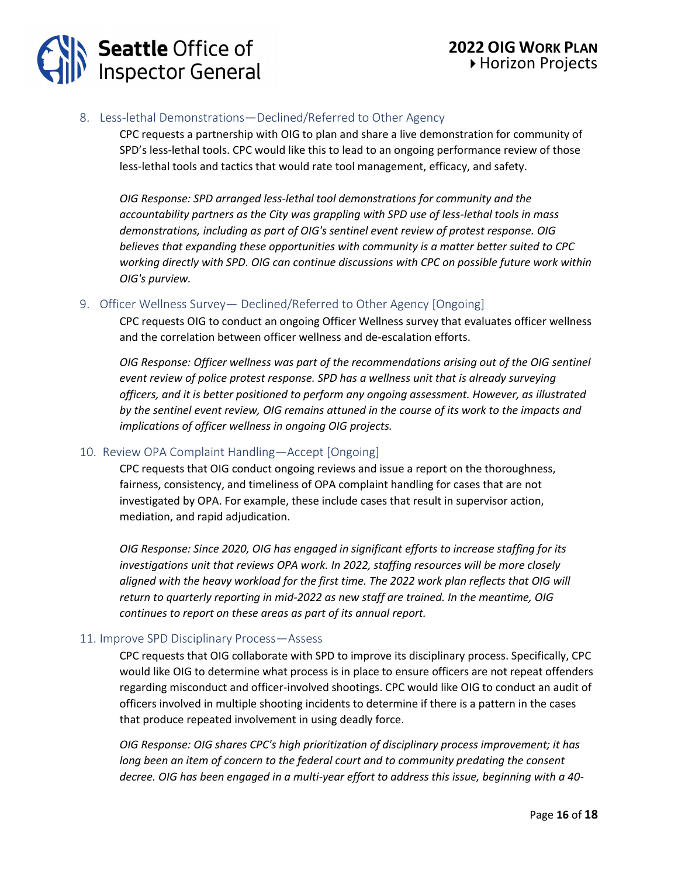## 8. Less-lethal Demonstrations—Declined/Referred to Other Agency

CPC requests a partnership with OIG to plan and share a live demonstration for community of SPD's less-lethal tools. CPC would like this to lead to an ongoing performance review of those less-lethal tools and tactics that would rate tool management, efficacy, and safety.

*OIG Response: SPD arranged less-lethal tool demonstrations for community and the accountability partners as the City was grappling with SPD use of less-lethal tools in mass demonstrations, including as part of OIG's sentinel event review of protest response. OIG believes that expanding these opportunities with community is a matter better suited to CPC working directly with SPD. OIG can continue discussions with CPC on possible future work within OIG's purview.*

## 9. Officer Wellness Survey— Declined/Referred to Other Agency [Ongoing]

CPC requests OIG to conduct an ongoing Officer Wellness survey that evaluates officer wellness and the correlation between officer wellness and de-escalation efforts.

*OIG Response: Officer wellness was part of the recommendations arising out of the OIG sentinel event review of police protest response. SPD has a wellness unit that is already surveying officers, and it is better positioned to perform any ongoing assessment. However, as illustrated by the sentinel event review, OIG remains attuned in the course of its work to the impacts and implications of officer wellness in ongoing OIG projects.*

## 10. Review OPA Complaint Handling—Accept [Ongoing]

CPC requests that OIG conduct ongoing reviews and issue a report on the thoroughness, fairness, consistency, and timeliness of OPA complaint handling for cases that are not investigated by OPA. For example, these include cases that result in supervisor action, mediation, and rapid adjudication.

*OIG Response: Since 2020, OIG has engaged in significant efforts to increase staffing for its investigations unit that reviews OPA work. In 2022, staffing resources will be more closely*  aligned with the heavy workload for the first time. The 2022 work plan reflects that OIG will *return to quarterly reporting in mid-2022 as new staff are trained. In the meantime, OIG continues to report on these areas as part of its annual report.*

## 11. Improve SPD Disciplinary Process—Assess

CPC requests that OIG collaborate with SPD to improve its disciplinary process. Specifically, CPC would like OIG to determine what process is in place to ensure officers are not repeat offenders regarding misconduct and officer-involved shootings. CPC would like OIG to conduct an audit of officers involved in multiple shooting incidents to determine if there is a pattern in the cases that produce repeated involvement in using deadly force.

*OIG Response: OIG shares CPC's high prioritization of disciplinary process improvement; it has*  long been an item of concern to the federal court and to community predating the consent *decree. OIG has been engaged in a multi-year effort to address this issue, beginning with a 40-*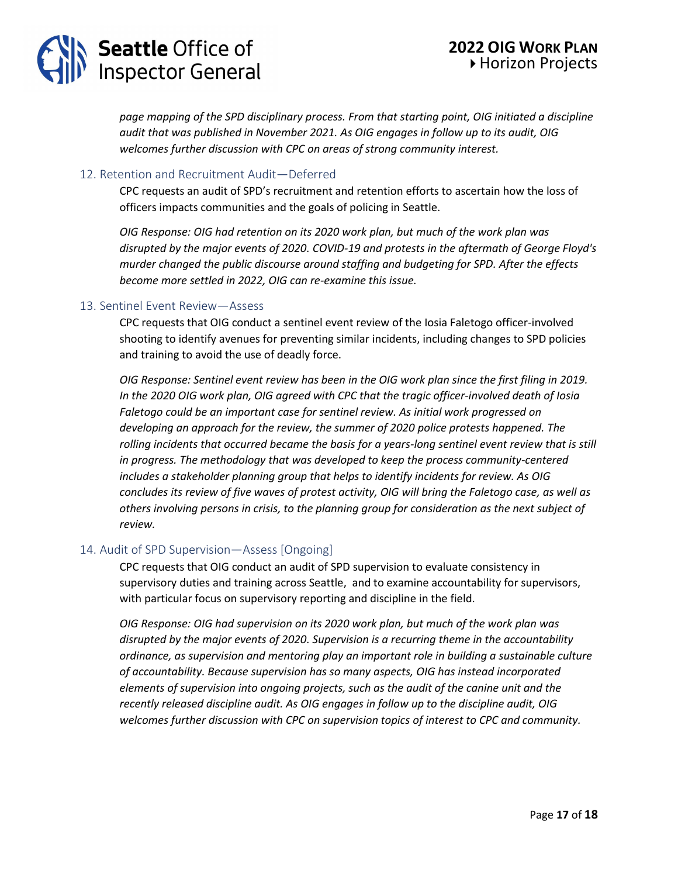## **Seattle Office of<br>Inspector General**

*page mapping of the SPD disciplinary process. From that starting point, OIG initiated a discipline audit that was published in November 2021. As OIG engages in follow up to its audit, OIG welcomes further discussion with CPC on areas of strong community interest.*

## 12. Retention and Recruitment Audit—Deferred

CPC requests an audit of SPD's recruitment and retention efforts to ascertain how the loss of officers impacts communities and the goals of policing in Seattle.

*OIG Response: OIG had retention on its 2020 work plan, but much of the work plan was disrupted by the major events of 2020. COVID-19 and protests in the aftermath of George Floyd's murder changed the public discourse around staffing and budgeting for SPD. After the effects become more settled in 2022, OIG can re-examine this issue.*

## 13. Sentinel Event Review—Assess

CPC requests that OIG conduct a sentinel event review of the Iosia Faletogo officer-involved shooting to identify avenues for preventing similar incidents, including changes to SPD policies and training to avoid the use of deadly force.

*OIG Response: Sentinel event review has been in the OIG work plan since the first filing in 2019. In the 2020 OIG work plan, OIG agreed with CPC that the tragic officer-involved death of Iosia Faletogo could be an important case for sentinel review. As initial work progressed on developing an approach for the review, the summer of 2020 police protests happened. The rolling incidents that occurred became the basis for a years-long sentinel event review that is still in progress. The methodology that was developed to keep the process community-centered includes a stakeholder planning group that helps to identify incidents for review. As OIG concludes its review of five waves of protest activity, OIG will bring the Faletogo case, as well as others involving persons in crisis, to the planning group for consideration as the next subject of review.*

## 14. Audit of SPD Supervision—Assess [Ongoing]

CPC requests that OIG conduct an audit of SPD supervision to evaluate consistency in supervisory duties and training across Seattle, and to examine accountability for supervisors, with particular focus on supervisory reporting and discipline in the field.

*OIG Response: OIG had supervision on its 2020 work plan, but much of the work plan was disrupted by the major events of 2020. Supervision is a recurring theme in the accountability ordinance, as supervision and mentoring play an important role in building a sustainable culture of accountability. Because supervision has so many aspects, OIG has instead incorporated elements of supervision into ongoing projects, such as the audit of the canine unit and the recently released discipline audit. As OIG engages in follow up to the discipline audit, OIG welcomes further discussion with CPC on supervision topics of interest to CPC and community.*